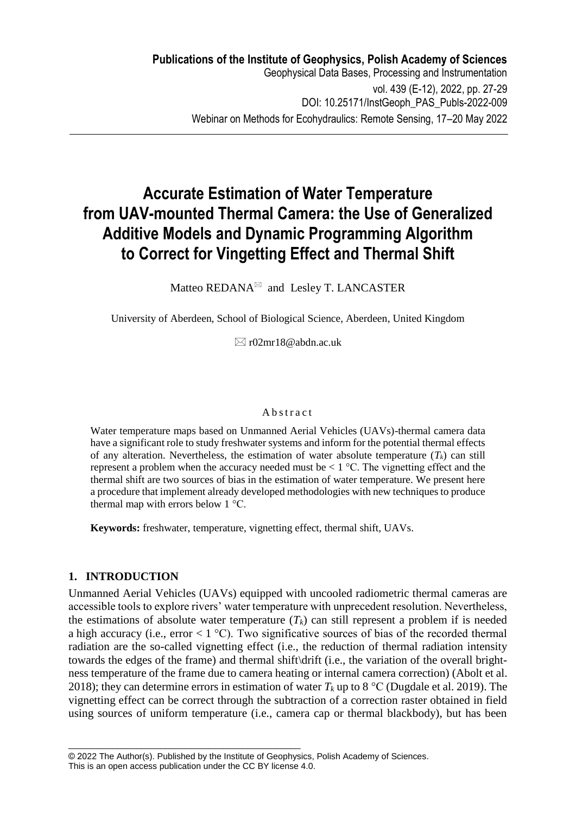# **Accurate Estimation of Water Temperature from UAV-mounted Thermal Camera: the Use of Generalized Additive Models and Dynamic Programming Algorithm to Correct for Vingetting Effect and Thermal Shift**

Matteo REDANA $\mathbb{R}$  and Lesley T. LANCASTER

University of Aberdeen, School of Biological Science, Aberdeen, United Kingdom

 $\boxtimes$  r02mr18@abdn.ac.uk

#### **A** b s t r a c t

Water temperature maps based on Unmanned Aerial Vehicles (UAVs)-thermal camera data have a significant role to study freshwater systems and inform for the potential thermal effects of any alteration. Nevertheless, the estimation of water absolute temperature  $(T_k)$  can still represent a problem when the accuracy needed must be  $\lt 1$  °C. The vignetting effect and the thermal shift are two sources of bias in the estimation of water temperature. We present here a procedure that implement already developed methodologies with new techniques to produce thermal map with errors below 1 °C.

**Keywords:** freshwater, temperature, vignetting effect, thermal shift, UAVs.

# **1. INTRODUCTION**

Unmanned Aerial Vehicles (UAVs) equipped with uncooled radiometric thermal cameras are accessible tools to explore rivers' water temperature with unprecedent resolution. Nevertheless, the estimations of absolute water temperature  $(T_k)$  can still represent a problem if is needed a high accuracy (i.e., error  $\lt 1^{\circ}$ C). Two significative sources of bias of the recorded thermal radiation are the so-called vignetting effect (i.e., the reduction of thermal radiation intensity towards the edges of the frame) and thermal shift\drift (i.e., the variation of the overall brightness temperature of the frame due to camera heating or internal camera correction) (Abolt et al. 2018); they can determine errors in estimation of water  $T_k$  up to 8 °C (Dugdale et al. 2019). The vignetting effect can be correct through the subtraction of a correction raster obtained in field using sources of uniform temperature (i.e., camera cap or thermal blackbody), but has been

\_\_\_\_\_\_\_\_\_\_\_\_\_\_\_\_\_\_\_\_\_\_\_\_\_\_\_\_\_\_\_\_\_\_\_\_\_\_\_\_\_\_\_\_\_\_\_\_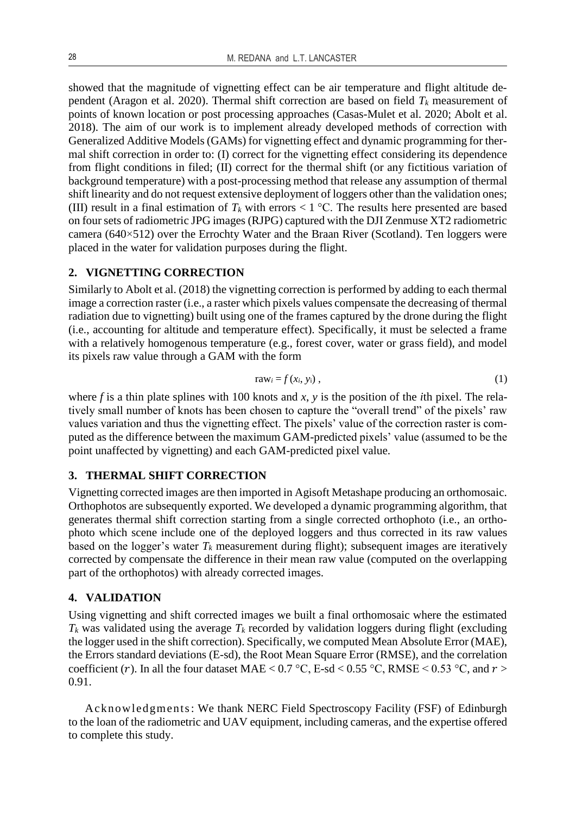showed that the magnitude of vignetting effect can be air temperature and flight altitude dependent (Aragon et al. 2020). Thermal shift correction are based on field *T<sup>k</sup>* measurement of points of known location or post processing approaches (Casas-Mulet et al. 2020; Abolt et al. 2018). The aim of our work is to implement already developed methods of correction with Generalized Additive Models (GAMs) for vignetting effect and dynamic programming for thermal shift correction in order to: (I) correct for the vignetting effect considering its dependence from flight conditions in filed; (II) correct for the thermal shift (or any fictitious variation of background temperature) with a post-processing method that release any assumption of thermal shift linearity and do not request extensive deployment of loggers other than the validation ones; (III) result in a final estimation of  $T_k$  with errors  $\lt 1$  °C. The results here presented are based on four sets of radiometric JPG images (RJPG) captured with the DJI Zenmuse XT2 radiometric camera (640×512) over the Errochty Water and the Braan River (Scotland). Ten loggers were placed in the water for validation purposes during the flight.

### **2. VIGNETTING CORRECTION**

Similarly to Abolt et al. (2018) the vignetting correction is performed by adding to each thermal image a correction raster (i.e., a raster which pixels values compensate the decreasing of thermal radiation due to vignetting) built using one of the frames captured by the drone during the flight (i.e., accounting for altitude and temperature effect). Specifically, it must be selected a frame with a relatively homogenous temperature (e.g., forest cover, water or grass field), and model its pixels raw value through a GAM with the form

$$
raw_i = f(x_i, y_i), \qquad (1)
$$

where *f* is a thin plate splines with 100 knots and *x*, *y* is the position of the *i*th pixel. The relatively small number of knots has been chosen to capture the "overall trend" of the pixels' raw values variation and thus the vignetting effect. The pixels' value of the correction raster is computed as the difference between the maximum GAM-predicted pixels' value (assumed to be the point unaffected by vignetting) and each GAM-predicted pixel value.

# **3. THERMAL SHIFT CORRECTION**

Vignetting corrected images are then imported in Agisoft Metashape producing an orthomosaic. Orthophotos are subsequently exported. We developed a dynamic programming algorithm, that generates thermal shift correction starting from a single corrected orthophoto (i.e., an orthophoto which scene include one of the deployed loggers and thus corrected in its raw values based on the logger's water  $T_k$  measurement during flight); subsequent images are iteratively corrected by compensate the difference in their mean raw value (computed on the overlapping part of the orthophotos) with already corrected images.

#### **4. VALIDATION**

Using vignetting and shift corrected images we built a final orthomosaic where the estimated  $T_k$  was validated using the average  $T_k$  recorded by validation loggers during flight (excluding the logger used in the shift correction). Specifically, we computed Mean Absolute Error (MAE), the Errors standard deviations (E-sd), the Root Mean Square Error (RMSE), and the correlation coefficient (r). In all the four dataset MAE <  $0.7 \degree C$ , E-sd <  $0.55 \degree C$ , RMSE <  $0.53 \degree C$ , and  $r >$ 0.91.

Acknowledgments: We thank NERC Field Spectroscopy Facility (FSF) of Edinburgh to the loan of the radiometric and UAV equipment, including cameras, and the expertise offered to complete this study.